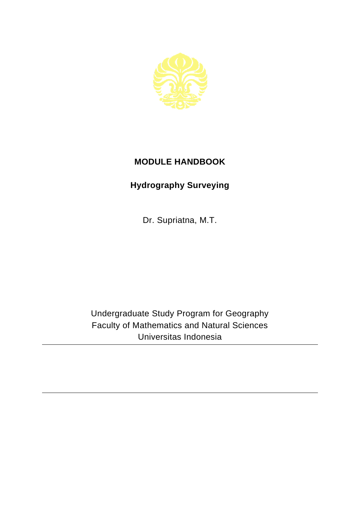

## **MODULE HANDBOOK**

## **Hydrography Surveying**

Dr. Supriatna, M.T.

Undergraduate Study Program for Geography Faculty of Mathematics and Natural Sciences Universitas Indonesia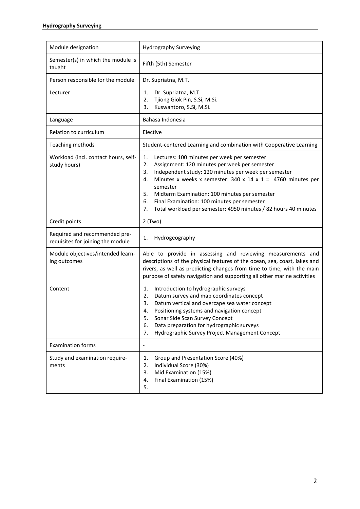| Module designation                                                 | Hydrography Surveying                                                                                                                                                                                                                                                                                                                                                                                                                        |
|--------------------------------------------------------------------|----------------------------------------------------------------------------------------------------------------------------------------------------------------------------------------------------------------------------------------------------------------------------------------------------------------------------------------------------------------------------------------------------------------------------------------------|
| Semester(s) in which the module is<br>taught                       | Fifth (5th) Semester                                                                                                                                                                                                                                                                                                                                                                                                                         |
| Person responsible for the module                                  | Dr. Supriatna, M.T.                                                                                                                                                                                                                                                                                                                                                                                                                          |
| Lecturer                                                           | Dr. Supriatna, M.T.<br>1.<br>Tjiong Giok Pin, S.Si, M.Si.<br>2.<br>3.<br>Kuswantoro, S.Si, M.Si.                                                                                                                                                                                                                                                                                                                                             |
| Language                                                           | Bahasa Indonesia                                                                                                                                                                                                                                                                                                                                                                                                                             |
| Relation to curriculum                                             | Elective                                                                                                                                                                                                                                                                                                                                                                                                                                     |
| Teaching methods                                                   | Student-centered Learning and combination with Cooperative Learning                                                                                                                                                                                                                                                                                                                                                                          |
| Workload (incl. contact hours, self-<br>study hours)               | 1.<br>Lectures: 100 minutes per week per semester<br>2.<br>Assignment: 120 minutes per week per semester<br>Independent study: 120 minutes per week per semester<br>3.<br>Minutes x weeks x semester: 340 x 14 x 1 = 4760 minutes per<br>4.<br>semester<br>5.<br>Midterm Examination: 100 minutes per semester<br>6.<br>Final Examination: 100 minutes per semester<br>Total workload per semester: 4950 minutes / 82 hours 40 minutes<br>7. |
| Credit points                                                      | $2$ (Two)                                                                                                                                                                                                                                                                                                                                                                                                                                    |
| Required and recommended pre-<br>requisites for joining the module | 1.<br>Hydrogeography                                                                                                                                                                                                                                                                                                                                                                                                                         |
| Module objectives/intended learn-<br>ing outcomes                  | Able to provide in assessing and reviewing measurements and<br>descriptions of the physical features of the ocean, sea, coast, lakes and<br>rivers, as well as predicting changes from time to time, with the main<br>purpose of safety navigation and supporting all other marine activities                                                                                                                                                |
| Content                                                            | Introduction to hydrographic surveys<br>1.<br>Datum survey and map coordinates concept<br>2.<br>3.<br>Datum vertical and overcape sea water concept<br>4.<br>Positioning systems and navigation concept<br>Sonar Side Scan Survey Concept<br>5.<br>Data preparation for hydrographic surveys<br>6.<br>7.<br>Hydrographic Survey Project Management Concept                                                                                   |
| <b>Examination forms</b>                                           | $\overline{a}$                                                                                                                                                                                                                                                                                                                                                                                                                               |
| Study and examination require-<br>ments                            | Group and Presentation Score (40%)<br>1.<br>2.<br>Individual Score (30%)<br>3.<br>Mid Examination (15%)<br>Final Examination (15%)<br>4.<br>5.                                                                                                                                                                                                                                                                                               |